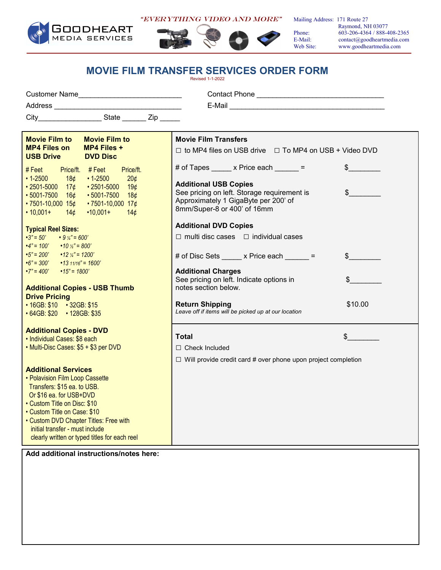

"EVERYTHING Video AND MORE"



Mailing Address: 171 Route 27

 Raymond, NH 03077 Phone: 603-206-4364 / 888-408-2365 E-Mail: contact@goodheartmedia.com<br>Web Site: www.goodheartmedia.com www.goodheartmedia.com

## **MOVIE FILM TRANSFER SERVICES ORDER FORM**

Revised 1-1-2022

| <b>Customer Name</b><br>Address                                                                                                  | <b>Contact Phone</b><br>E-Mail                                                                   |
|----------------------------------------------------------------------------------------------------------------------------------|--------------------------------------------------------------------------------------------------|
| City<br>State<br>Zip                                                                                                             |                                                                                                  |
| <b>Movie Film to</b><br><b>Movie Film to</b><br><b>MP4 Files on</b><br><b>MP4 Files +</b><br><b>USB Drive</b><br><b>DVD Disc</b> | <b>Movie Film Transfers</b><br>$\Box$ to MP4 files on USB drive $\Box$ To MP4 on USB + Video DVD |
| Price/ft.<br>Price/ft. #Feet<br># Feet                                                                                           | # of Tapes x Price each                                                                          |

| <b>Movie Film to</b>                                | <b>Movie Film to</b>                           | <b>Movie Film Transfers</b>                                                    |                           |
|-----------------------------------------------------|------------------------------------------------|--------------------------------------------------------------------------------|---------------------------|
| <b>MP4 Files on</b><br><b>USB Drive</b>             | MP4 Files +<br><b>DVD Disc</b>                 | $\Box$ to MP4 files on USB drive $\Box$ To MP4 on USB + Video DVD              |                           |
| $#$ Feet<br>$\cdot$ 1-2500                          | Price/ft. #Feet<br>Price/ft.                   | # of Tapes $\frac{1}{2}$ x Price each $\frac{1}{2}$ =                          |                           |
| 18¢                                                 | $\cdot$ 1-2500<br>20 <sub>¢</sub>              | <b>Additional USB Copies</b>                                                   |                           |
| $\cdot$ 2501-5000 17¢<br>$\cdot$ 5001-7500 16¢      | $\cdot$ 2501-5000 19¢<br>$\cdot$ 5001-7500 18¢ | See pricing on left. Storage requirement is                                    | $\frac{1}{2}$             |
| $\cdot$ 7501-10,000 15¢                             | $\cdot$ 7501-10,000 17¢                        | Approximately 1 GigaByte per 200' of                                           |                           |
| $\cdot$ 10,001+<br>14¢                              | $•10,001+$<br>14 <sub>c</sub>                  | 8mm/Super-8 or 400' of 16mm                                                    |                           |
| <b>Typical Reel Sizes:</b>                          |                                                | <b>Additional DVD Copies</b>                                                   |                           |
| $-3" = 50'$<br>$\cdot$ 9 $\frac{1}{4}$ = 600'       |                                                | $\Box$ multi disc cases $\Box$ individual cases                                |                           |
| $\cdot$ 4" = 100' $\cdot$ 10 $\frac{1}{2}$ " = 800' |                                                |                                                                                |                           |
| $\cdot 5" = 200'$ $\cdot 12 \frac{1}{4} = 1200'$    |                                                | # of Disc Sets x Price each = =                                                | $\frac{1}{2}$             |
| $\cdot 6" = 300' \cdot 1311/16" = 1600'$            |                                                |                                                                                |                           |
| $\cdot 7" = 400'$<br>$•15" = 1800'$                 |                                                | <b>Additional Charges</b>                                                      |                           |
|                                                     |                                                | See pricing on left. Indicate options in                                       | $\boldsymbol{\mathsf{S}}$ |
| <b>Additional Copies - USB Thumb</b>                |                                                | notes section below.                                                           |                           |
| <b>Drive Pricing</b>                                |                                                |                                                                                |                           |
| • 16GB: \$10 • 32GB: \$15                           |                                                | <b>Return Shipping</b><br>Leave off if items will be picked up at our location | \$10.00                   |
| • 64GB: \$20 • 128GB: \$35                          |                                                |                                                                                |                           |
| <b>Additional Copies - DVD</b>                      |                                                |                                                                                |                           |
| • Individual Cases: \$8 each                        |                                                | <b>Total</b>                                                                   | \$                        |
| • Multi-Disc Cases: \$5 + \$3 per DVD               |                                                | $\Box$ Check Included                                                          |                           |
|                                                     |                                                | $\Box$ Will provide credit card # over phone upon project completion           |                           |
| <b>Additional Services</b>                          |                                                |                                                                                |                           |
| • Polavision Film Loop Cassette                     |                                                |                                                                                |                           |
| Transfers: \$15 ea. to USB.                         |                                                |                                                                                |                           |
| Or \$16 ea. for USB+DVD                             |                                                |                                                                                |                           |
| • Custom Title on Disc: \$10                        |                                                |                                                                                |                           |
| • Custom Title on Case: \$10                        |                                                |                                                                                |                           |
| • Custom DVD Chapter Titles: Free with              |                                                |                                                                                |                           |
| initial transfer - must include                     |                                                |                                                                                |                           |
|                                                     | clearly written or typed titles for each reel  |                                                                                |                           |
|                                                     | Add odditional inotruotionalnoteo horo:        |                                                                                |                           |

**Add additional instructions/notes here:**